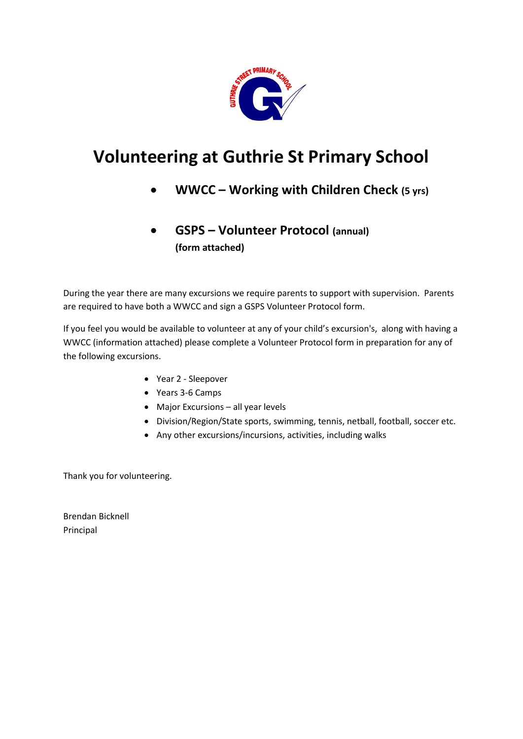

# **Volunteering at Guthrie St Primary School**

- **WWCC – Working with Children Check (5 yrs)**
- **GSPS – Volunteer Protocol (annual) (form attached)**

During the year there are many excursions we require parents to support with supervision. Parents are required to have both a WWCC and sign a GSPS Volunteer Protocol form.

If you feel you would be available to volunteer at any of your child's excursion's, along with having a WWCC (information attached) please complete a Volunteer Protocol form in preparation for any of the following excursions.

- Year 2 Sleepover
- Years 3-6 Camps
- Major Excursions all year levels
- Division/Region/State sports, swimming, tennis, netball, football, soccer etc.
- Any other excursions/incursions, activities, including walks

Thank you for volunteering.

Brendan Bicknell Principal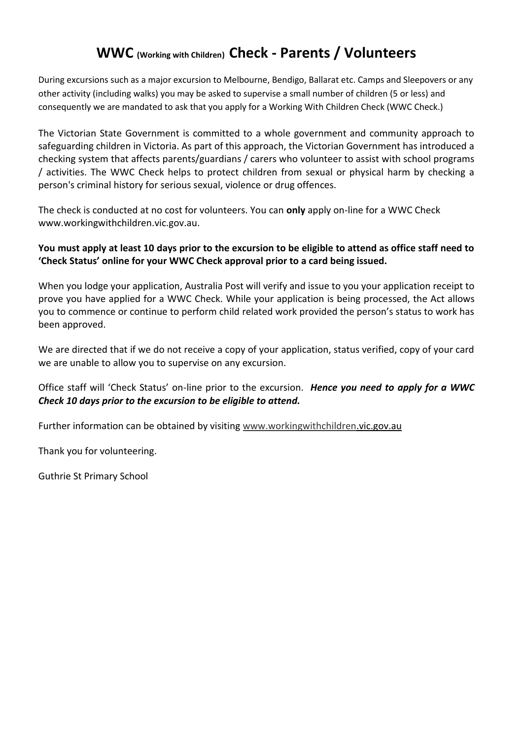### **WWC (Working with Children) Check - Parents / Volunteers**

During excursions such as a major excursion to Melbourne, Bendigo, Ballarat etc. Camps and Sleepovers or any other activity (including walks) you may be asked to supervise a small number of children (5 or less) and consequently we are mandated to ask that you apply for a Working With Children Check (WWC Check.)

The Victorian State Government is committed to a whole government and community approach to safeguarding children in Victoria. As part of this approach, the Victorian Government has introduced a checking system that affects parents/guardians / carers who volunteer to assist with school programs / activities. The WWC Check helps to protect children from sexual or physical harm by checking a person's criminal history for serious sexual, violence or drug offences.

The check is conducted at no cost for volunteers. You can **only** apply on-line for a WWC Check www.workingwithchildren.vic.gov.au.

### **You must apply at least 10 days prior to the excursion to be eligible to attend as office staff need to 'Check Status' online for your WWC Check approval prior to a card being issued.**

When you lodge your application, Australia Post will verify and issue to you your application receipt to prove you have applied for a WWC Check. While your application is being processed, the Act allows you to commence or continue to perform child related work provided the person's status to work has been approved.

We are directed that if we do not receive a copy of your application, status verified, copy of your card we are unable to allow you to supervise on any excursion.

Office staff will 'Check Status' on-line prior to the excursion. *Hence you need to apply for a WWC Check 10 days prior to the excursion to be eligible to attend.*

Further information can be obtained by visiting [www.workingwithchildren.](http://www.workingwithchildren/)vic.gov.au

Thank you for volunteering.

Guthrie St Primary School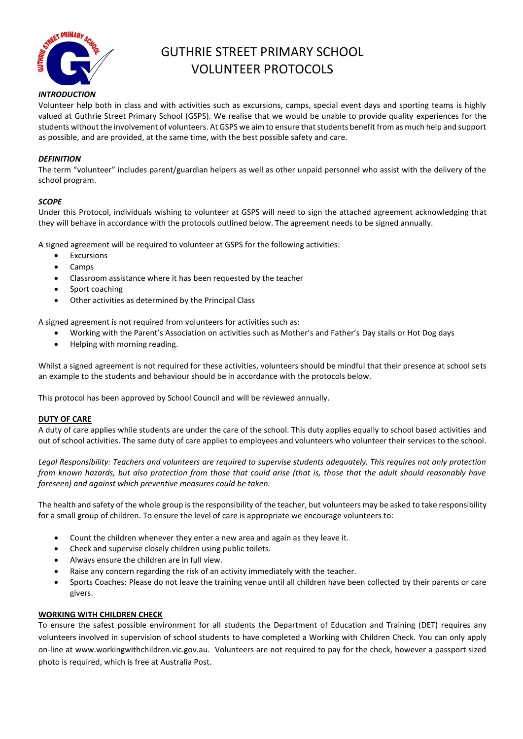

## GUTHRIE STREET PRIMARY SCHOOL VOLUNTEER PROTOCOLS

#### *INTRODUCTION*

Volunteer help both in class and with activities such as excursions, camps, special event days and sporting teams is highly valued at Guthrie Street Primary School (GSPS). We realise that we would be unable to provide quality experiences for the students without the involvement of volunteers. At GSPS we aim to ensure that students benefit from as much help and support as possible, and are provided, at the same time, with the best possible safety and care.

#### *DEFINITION*

The term "volunteer" includes parent/guardian helpers as well as other unpaid personnel who assist with the delivery of the school program.

#### *SCOPE*

Under this Protocol, individuals wishing to volunteer at GSPS will need to sign the attached agreement acknowledging that they will behave in accordance with the protocols outlined below. The agreement needs to be signed annually.

A signed agreement will be required to volunteer at GSPS for the following activities:

- **Excursions**
- Camps
- Classroom assistance where it has been requested by the teacher
- Sport coaching
- Other activities as determined by the Principal Class

A signed agreement is not required from volunteers for activities such as:

- Working with the Parent's Association on activities such as Mother's and Father's Day stalls or Hot Dog days
- Helping with morning reading.

Whilst a signed agreement is not required for these activities, volunteers should be mindful that their presence at school sets an example to the students and behaviour should be in accordance with the protocols below.

This protocol has been approved by School Council and will be reviewed annually.

#### **DUTY OF CARE**

A duty of care applies while students are under the care of the school. This duty applies equally to school based activities and out of school activities. The same duty of care applies to employees and volunteers who volunteer their services to the school.

*Legal Responsibility: Teachers and volunteers are required to supervise students adequately. This requires not only protection from known hazards, but also protection from those that could arise (that is, those that the adult should reasonably have foreseen) and against which preventive measures could be taken.* 

The health and safety of the whole group is the responsibility of the teacher, but volunteers may be asked to take responsibility for a small group of children. To ensure the level of care is appropriate we encourage volunteers to:

- Count the children whenever they enter a new area and again as they leave it.
- Check and supervise closely children using public toilets.
- Always ensure the children are in full view.
- Raise any concern regarding the risk of an activity immediately with the teacher.
- Sports Coaches: Please do not leave the training venue until all children have been collected by their parents or care givers.

#### **WORKING WITH CHILDREN CHECK**

To ensure the safest possible environment for all students the Department of Education and Training (DET) requires any volunteers involved in supervision of school students to have completed a Working with Children Check. You can only apply on-line at www.workingwithchildren.vic.gov.au. Volunteers are not required to pay for the check, however a passport sized photo is required, which is free at Australia Post.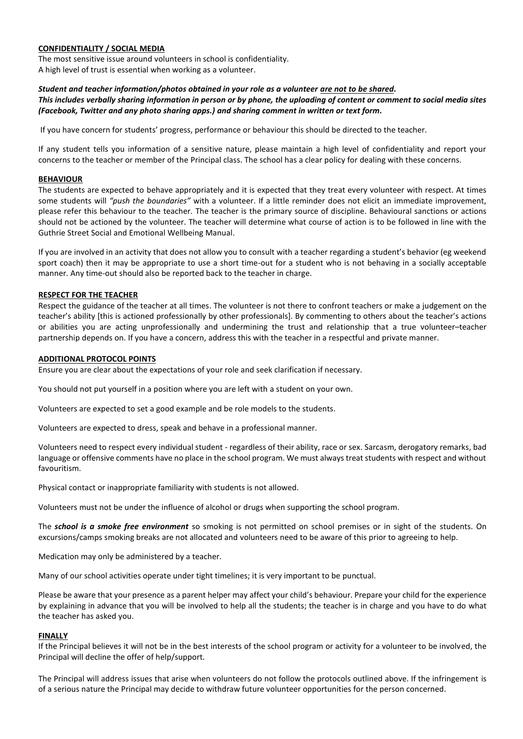#### **CONFIDENTIALITY / SOCIAL MEDIA**

The most sensitive issue around volunteers in school is confidentiality. A high level of trust is essential when working as a volunteer.

#### *Student and teacher information/photos obtained in your role as a volunteer are not to be shared.*

#### *This includes verbally sharing information in person or by phone, the uploading of content or comment to social media sites (Facebook, Twitter and any photo sharing apps.) and sharing comment in written or text form.*

If you have concern for students' progress, performance or behaviour this should be directed to the teacher.

If any student tells you information of a sensitive nature, please maintain a high level of confidentiality and report your concerns to the teacher or member of the Principal class. The school has a clear policy for dealing with these concerns.

#### **BEHAVIOUR**

The students are expected to behave appropriately and it is expected that they treat every volunteer with respect. At times some students will *"push the boundaries"* with a volunteer. If a little reminder does not elicit an immediate improvement, please refer this behaviour to the teacher. The teacher is the primary source of discipline. Behavioural sanctions or actions should not be actioned by the volunteer. The teacher will determine what course of action is to be followed in line with the Guthrie Street Social and Emotional Wellbeing Manual.

If you are involved in an activity that does not allow you to consult with a teacher regarding a student's behavior (eg weekend sport coach) then it may be appropriate to use a short time-out for a student who is not behaving in a socially acceptable manner. Any time-out should also be reported back to the teacher in charge.

#### **RESPECT FOR THE TEACHER**

Respect the guidance of the teacher at all times. The volunteer is not there to confront teachers or make a judgement on the teacher's ability [this is actioned professionally by other professionals]. By commenting to others about the teacher's actions or abilities you are acting unprofessionally and undermining the trust and relationship that a true volunteer–teacher partnership depends on. If you have a concern, address this with the teacher in a respectful and private manner.

#### **ADDITIONAL PROTOCOL POINTS**

Ensure you are clear about the expectations of your role and seek clarification if necessary.

You should not put yourself in a position where you are left with a student on your own.

Volunteers are expected to set a good example and be role models to the students.

Volunteers are expected to dress, speak and behave in a professional manner.

Volunteers need to respect every individual student - regardless of their ability, race or sex. Sarcasm, derogatory remarks, bad language or offensive comments have no place in the school program. We must always treat students with respect and without favouritism.

Physical contact or inappropriate familiarity with students is not allowed.

Volunteers must not be under the influence of alcohol or drugs when supporting the school program.

The *school is a smoke free environment* so smoking is not permitted on school premises or in sight of the students. On excursions/camps smoking breaks are not allocated and volunteers need to be aware of this prior to agreeing to help.

Medication may only be administered by a teacher.

Many of our school activities operate under tight timelines; it is very important to be punctual.

Please be aware that your presence as a parent helper may affect your child's behaviour. Prepare your child for the experience by explaining in advance that you will be involved to help all the students; the teacher is in charge and you have to do what the teacher has asked you.

#### **FINALLY**

If the Principal believes it will not be in the best interests of the school program or activity for a volunteer to be involved, the Principal will decline the offer of help/support.

The Principal will address issues that arise when volunteers do not follow the protocols outlined above. If the infringement is of a serious nature the Principal may decide to withdraw future volunteer opportunities for the person concerned.